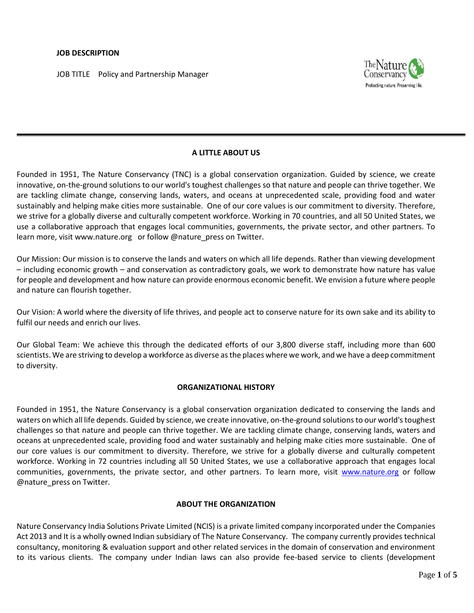### **JOB DESCRIPTION**

JOB TITLE Policy and Partnership Manager



# **A LITTLE ABOUT US**

Founded in 1951, The Nature Conservancy (TNC) is a global conservation organization. Guided by science, we create innovative, on-the-ground solutions to our world's toughest challenges so that nature and people can thrive together. We are tackling climate change, conserving lands, waters, and oceans at unprecedented scale, providing food and water sustainably and helping make cities more sustainable. One of our core values is our commitment to diversity. Therefore, we strive for a globally diverse and culturally competent workforce. Working in 70 countries, and all 50 United States, we use a collaborative approach that engages local communities, governments, the private sector, and other partners. To learn more, visi[t www.nature.org](http://www.nature.org/) or follow @nature\_press on Twitter.

Our Mission: Our mission is to conserve the lands and waters on which all life depends. Rather than viewing development – including economic growth – and conservation as contradictory goals, we work to demonstrate how nature has value for people and development and how nature can provide enormous economic benefit. We envision a future where people and nature can flourish together.

Our Vision: A world where the diversity of life thrives, and people act to conserve nature for its own sake and its ability to fulfil our needs and enrich our lives.

Our Global Team: We achieve this through the dedicated efforts of our 3,800 [diverse staff,](http://www.nature.org/about-us/diversity/index.htm) including more than [600](http://www.nature.org/science-in-action/index.htm)  [scientists.](http://www.nature.org/science-in-action/index.htm) We are striving to develop a workforce as diverse as the places where we work, and we have a deep commitment to diversity.

#### **ORGANIZATIONAL HISTORY**

Founded in 1951, the Nature Conservancy is a global conservation organization dedicated to conserving the lands and waters on which all life depends. Guided by science, we create innovative, on-the-ground solutions to our world's toughest challenges so that nature and people can thrive together. We are tackling climate change, conserving lands, waters and oceans at unprecedented scale, providing food and water sustainably and helping make cities more sustainable. One of our core values is our commitment to diversity. Therefore, we strive for a globally diverse and culturally competent workforce. Working in 72 countries including all 50 United States, we use a collaborative approach that engages local communities, governments, the private sector, and other partners. To learn more, visit [www.nature.org](http://www.nature.org/) or follow @nature\_press on Twitter.

#### **ABOUT THE ORGANIZATION**

Nature Conservancy India Solutions Private Limited (NCIS) is a private limited company incorporated under the Companies Act 2013 and It is a wholly owned Indian subsidiary of The Nature Conservancy. The company currently provides technical consultancy, monitoring & evaluation support and other related services in the domain of conservation and environment to its various clients. The company under Indian laws can also provide fee-based service to clients (development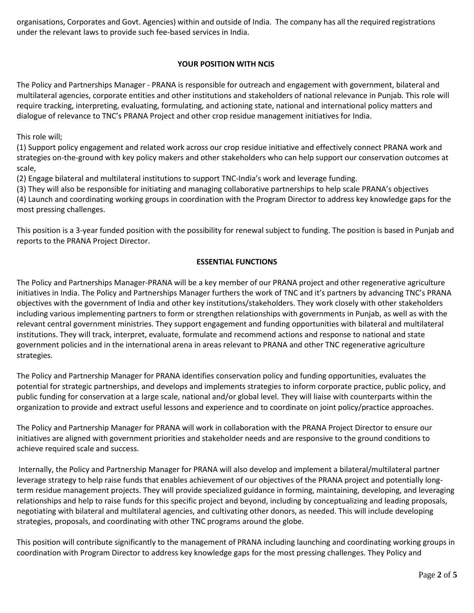organisations, Corporates and Govt. Agencies) within and outside of India. The company has all the required registrations under the relevant laws to provide such fee-based services in India.

# **YOUR POSITION WITH NCIS**

The Policy and Partnerships Manager - PRANA is responsible for outreach and engagement with government, bilateral and multilateral agencies, corporate entities and other institutions and stakeholders of national relevance in Punjab. This role will require tracking, interpreting, evaluating, formulating, and actioning state, national and international policy matters and dialogue of relevance to TNC's PRANA Project and other crop residue management initiatives for India.

This role will;

(1) Support policy engagement and related work across our crop residue initiative and effectively connect PRANA work and strategies on-the-ground with key policy makers and other stakeholders who can help support our conservation outcomes at scale,

(2) Engage bilateral and multilateral institutions to support TNC-India's work and leverage funding.

(3) They will also be responsible for initiating and managing collaborative partnerships to help scale PRANA's objectives (4) Launch and coordinating working groups in coordination with the Program Director to address key knowledge gaps for the most pressing challenges.

This position is a 3-year funded position with the possibility for renewal subject to funding. The position is based in Punjab and reports to the PRANA Project Director.

## **ESSENTIAL FUNCTIONS**

The Policy and Partnerships Manager-PRANA will be a key member of our PRANA project and other regenerative agriculture initiatives in India. The Policy and Partnerships Manager furthers the work of TNC and it's partners by advancing TNC's PRANA objectives with the government of India and other key institutions/stakeholders. They work closely with other stakeholders including various implementing partners to form or strengthen relationships with governments in Punjab, as well as with the relevant central government ministries. They support engagement and funding opportunities with bilateral and multilateral institutions. They will track, interpret, evaluate, formulate and recommend actions and response to national and state government policies and in the international arena in areas relevant to PRANA and other TNC regenerative agriculture strategies.

The Policy and Partnership Manager for PRANA identifies conservation policy and funding opportunities, evaluates the potential for strategic partnerships, and develops and implements strategies to inform corporate practice, public policy, and public funding for conservation at a large scale, national and/or global level. They will liaise with counterparts within the organization to provide and extract useful lessons and experience and to coordinate on joint policy/practice approaches.

The Policy and Partnership Manager for PRANA will work in collaboration with the PRANA Project Director to ensure our initiatives are aligned with government priorities and stakeholder needs and are responsive to the ground conditions to achieve required scale and success.

Internally, the Policy and Partnership Manager for PRANA will also develop and implement a bilateral/multilateral partner leverage strategy to help raise funds that enables achievement of our objectives of the PRANA project and potentially longterm residue management projects. They will provide specialized guidance in forming, maintaining, developing, and leveraging relationships and help to raise funds for this specific project and beyond, including by conceptualizing and leading proposals, negotiating with bilateral and multilateral agencies, and cultivating other donors, as needed. This will include developing strategies, proposals, and coordinating with other TNC programs around the globe.

This position will contribute significantly to the management of PRANA including launching and coordinating working groups in coordination with Program Director to address key knowledge gaps for the most pressing challenges. They Policy and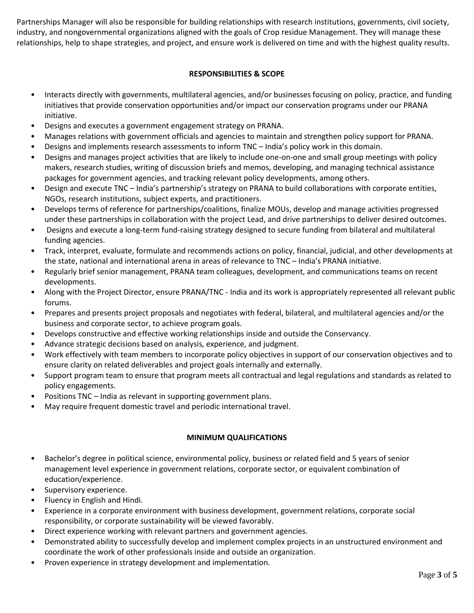Partnerships Manager will also be responsible for building relationships with research institutions, governments, civil society, industry, and nongovernmental organizations aligned with the goals of Crop residue Management. They will manage these relationships, help to shape strategies, and project, and ensure work is delivered on time and with the highest quality results.

# **RESPONSIBILITIES & SCOPE**

- Interacts directly with governments, multilateral agencies, and/or businesses focusing on policy, practice, and funding initiatives that provide conservation opportunities and/or impact our conservation programs under our PRANA initiative.
- Designs and executes a government engagement strategy on PRANA.
- Manages relations with government officials and agencies to maintain and strengthen policy support for PRANA.
- Designs and implements research assessments to inform TNC India's policy work in this domain.
- Designs and manages project activities that are likely to include one-on-one and small group meetings with policy makers, research studies, writing of discussion briefs and memos, developing, and managing technical assistance packages for government agencies, and tracking relevant policy developments, among others.
- Design and execute TNC India's partnership's strategy on PRANA to build collaborations with corporate entities, NGOs, research institutions, subject experts, and practitioners.
- Develops terms of reference for partnerships/coalitions, finalize MOUs, develop and manage activities progressed under these partnerships in collaboration with the project Lead, and drive partnerships to deliver desired outcomes.
- Designs and execute a long-term fund-raising strategy designed to secure funding from bilateral and multilateral funding agencies.
- Track, interpret, evaluate, formulate and recommends actions on policy, financial, judicial, and other developments at the state, national and international arena in areas of relevance to TNC – India's PRANA initiative.
- Regularly brief senior management, PRANA team colleagues, development, and communications teams on recent developments.
- Along with the Project Director, ensure PRANA/TNC India and its work is appropriately represented all relevant public forums.
- Prepares and presents project proposals and negotiates with federal, bilateral, and multilateral agencies and/or the business and corporate sector, to achieve program goals.
- Develops constructive and effective working relationships inside and outside the Conservancy.
- Advance strategic decisions based on analysis, experience, and judgment.
- Work effectively with team members to incorporate policy objectives in support of our conservation objectives and to ensure clarity on related deliverables and project goals internally and externally.
- Support program team to ensure that program meets all contractual and legal regulations and standards as related to policy engagements.
- Positions TNC India as relevant in supporting government plans.
- May require frequent domestic travel and periodic international travel.

# **MINIMUM QUALIFICATIONS**

- Bachelor's degree in political science, environmental policy, business or related field and 5 years of senior management level experience in government relations, corporate sector, or equivalent combination of education/experience.
- Supervisory experience.
- Fluency in English and Hindi.
- Experience in a corporate environment with business development, government relations, corporate social responsibility, or corporate sustainability will be viewed favorably.
- Direct experience working with relevant partners and government agencies.
- Demonstrated ability to successfully develop and implement complex projects in an unstructured environment and coordinate the work of other professionals inside and outside an organization.
- Proven experience in strategy development and implementation.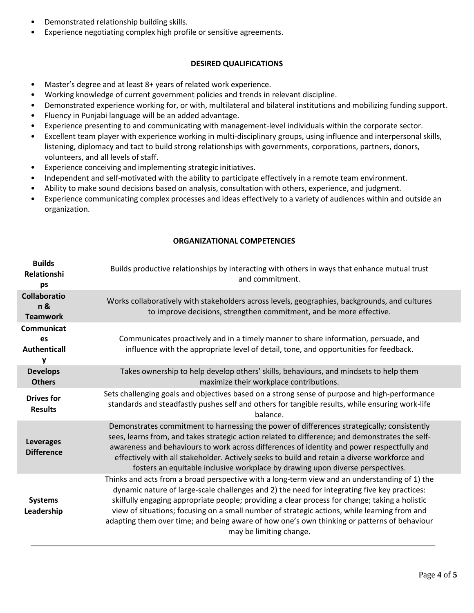- Demonstrated relationship building skills.
- Experience negotiating complex high profile or sensitive agreements.

### **DESIRED QUALIFICATIONS**

- Master's degree and at least 8+ years of related work experience.
- Working knowledge of current government policies and trends in relevant discipline.
- Demonstrated experience working for, or with, multilateral and bilateral institutions and mobilizing funding support.
- Fluency in Punjabi language will be an added advantage.
- Experience presenting to and communicating with management-level individuals within the corporate sector.
- Excellent team player with experience working in multi-disciplinary groups, using influence and interpersonal skills, listening, diplomacy and tact to build strong relationships with governments, corporations, partners, donors, volunteers, and all levels of staff.
- Experience conceiving and implementing strategic initiatives.
- Independent and self-motivated with the ability to participate effectively in a remote team environment.
- Ability to make sound decisions based on analysis, consultation with others, experience, and judgment.
- Experience communicating complex processes and ideas effectively to a variety of audiences within and outside an organization.

## **ORGANIZATIONAL COMPETENCIES**

| <b>Builds</b><br><b>Relationshi</b><br>ps     | Builds productive relationships by interacting with others in ways that enhance mutual trust<br>and commitment.                                                                                                                                                                                                                                                                                                                                                                                                           |
|-----------------------------------------------|---------------------------------------------------------------------------------------------------------------------------------------------------------------------------------------------------------------------------------------------------------------------------------------------------------------------------------------------------------------------------------------------------------------------------------------------------------------------------------------------------------------------------|
| <b>Collaboratio</b><br>n &<br><b>Teamwork</b> | Works collaboratively with stakeholders across levels, geographies, backgrounds, and cultures<br>to improve decisions, strengthen commitment, and be more effective.                                                                                                                                                                                                                                                                                                                                                      |
| Communicat<br><b>es</b><br>Authenticall<br>٧  | Communicates proactively and in a timely manner to share information, persuade, and<br>influence with the appropriate level of detail, tone, and opportunities for feedback.                                                                                                                                                                                                                                                                                                                                              |
| <b>Develops</b><br><b>Others</b>              | Takes ownership to help develop others' skills, behaviours, and mindsets to help them<br>maximize their workplace contributions.                                                                                                                                                                                                                                                                                                                                                                                          |
| <b>Drives for</b><br><b>Results</b>           | Sets challenging goals and objectives based on a strong sense of purpose and high-performance<br>standards and steadfastly pushes self and others for tangible results, while ensuring work-life<br>balance.                                                                                                                                                                                                                                                                                                              |
| <b>Leverages</b><br><b>Difference</b>         | Demonstrates commitment to harnessing the power of differences strategically; consistently<br>sees, learns from, and takes strategic action related to difference; and demonstrates the self-<br>awareness and behaviours to work across differences of identity and power respectfully and<br>effectively with all stakeholder. Actively seeks to build and retain a diverse workforce and<br>fosters an equitable inclusive workplace by drawing upon diverse perspectives.                                             |
| <b>Systems</b><br>Leadership                  | Thinks and acts from a broad perspective with a long-term view and an understanding of 1) the<br>dynamic nature of large-scale challenges and 2) the need for integrating five key practices:<br>skilfully engaging appropriate people; providing a clear process for change; taking a holistic<br>view of situations; focusing on a small number of strategic actions, while learning from and<br>adapting them over time; and being aware of how one's own thinking or patterns of behaviour<br>may be limiting change. |